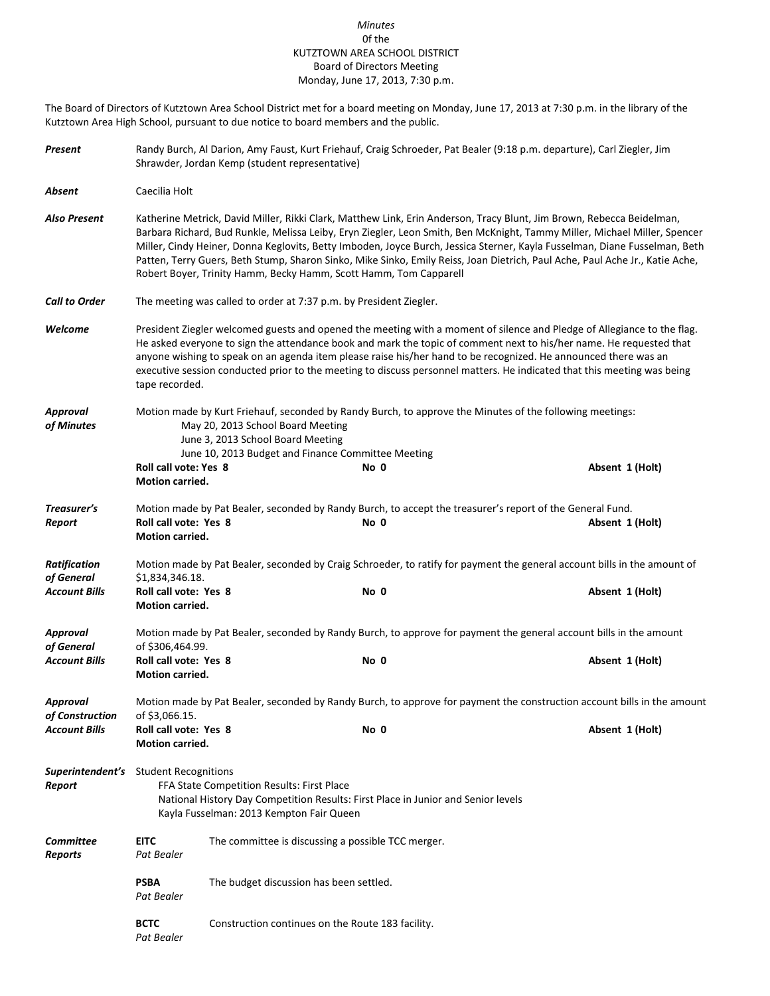## *Minutes* 0f the KUTZTOWN AREA SCHOOL DISTRICT Board of Directors Meeting Monday, June 17, 2013, 7:30 p.m.

The Board of Directors of Kutztown Area School District met for a board meeting on Monday, June 17, 2013 at 7:30 p.m. in the library of the Kutztown Area High School, pursuant to due notice to board members and the public.

| Present                                                   |                                                                                                                                                                                                                                                | Randy Burch, Al Darion, Amy Faust, Kurt Friehauf, Craig Schroeder, Pat Bealer (9:18 p.m. departure), Carl Ziegler, Jim<br>Shrawder, Jordan Kemp (student representative)                                                                                                                                                                                                                                                                                                                                                                                                              |                                                                                                                   |                 |  |  |  |
|-----------------------------------------------------------|------------------------------------------------------------------------------------------------------------------------------------------------------------------------------------------------------------------------------------------------|---------------------------------------------------------------------------------------------------------------------------------------------------------------------------------------------------------------------------------------------------------------------------------------------------------------------------------------------------------------------------------------------------------------------------------------------------------------------------------------------------------------------------------------------------------------------------------------|-------------------------------------------------------------------------------------------------------------------|-----------------|--|--|--|
| Absent                                                    | Caecilia Holt                                                                                                                                                                                                                                  |                                                                                                                                                                                                                                                                                                                                                                                                                                                                                                                                                                                       |                                                                                                                   |                 |  |  |  |
| Also Present                                              |                                                                                                                                                                                                                                                | Katherine Metrick, David Miller, Rikki Clark, Matthew Link, Erin Anderson, Tracy Blunt, Jim Brown, Rebecca Beidelman,<br>Barbara Richard, Bud Runkle, Melissa Leiby, Eryn Ziegler, Leon Smith, Ben McKnight, Tammy Miller, Michael Miller, Spencer<br>Miller, Cindy Heiner, Donna Keglovits, Betty Imboden, Joyce Burch, Jessica Sterner, Kayla Fusselman, Diane Fusselman, Beth<br>Patten, Terry Guers, Beth Stump, Sharon Sinko, Mike Sinko, Emily Reiss, Joan Dietrich, Paul Ache, Paul Ache Jr., Katie Ache,<br>Robert Boyer, Trinity Hamm, Becky Hamm, Scott Hamm, Tom Capparell |                                                                                                                   |                 |  |  |  |
| <b>Call to Order</b>                                      |                                                                                                                                                                                                                                                | The meeting was called to order at 7:37 p.m. by President Ziegler.                                                                                                                                                                                                                                                                                                                                                                                                                                                                                                                    |                                                                                                                   |                 |  |  |  |
| Welcome                                                   |                                                                                                                                                                                                                                                | President Ziegler welcomed guests and opened the meeting with a moment of silence and Pledge of Allegiance to the flag.<br>He asked everyone to sign the attendance book and mark the topic of comment next to his/her name. He requested that<br>anyone wishing to speak on an agenda item please raise his/her hand to be recognized. He announced there was an<br>executive session conducted prior to the meeting to discuss personnel matters. He indicated that this meeting was being<br>tape recorded.                                                                        |                                                                                                                   |                 |  |  |  |
| <b>Approval</b><br>of Minutes                             | Motion made by Kurt Friehauf, seconded by Randy Burch, to approve the Minutes of the following meetings:<br>May 20, 2013 School Board Meeting<br>June 3, 2013 School Board Meeting                                                             |                                                                                                                                                                                                                                                                                                                                                                                                                                                                                                                                                                                       |                                                                                                                   |                 |  |  |  |
|                                                           | <b>Roll call vote: Yes 8</b><br>Motion carried.                                                                                                                                                                                                |                                                                                                                                                                                                                                                                                                                                                                                                                                                                                                                                                                                       | June 10, 2013 Budget and Finance Committee Meeting<br>No 0                                                        | Absent 1 (Holt) |  |  |  |
| Treasurer's<br>Report                                     | Roll call vote: Yes 8<br>Motion carried.                                                                                                                                                                                                       |                                                                                                                                                                                                                                                                                                                                                                                                                                                                                                                                                                                       | Motion made by Pat Bealer, seconded by Randy Burch, to accept the treasurer's report of the General Fund.<br>No 0 | Absent 1 (Holt) |  |  |  |
| <b>Ratification</b><br>of General<br><b>Account Bills</b> | Motion made by Pat Bealer, seconded by Craig Schroeder, to ratify for payment the general account bills in the amount of<br>\$1,834,346.18.<br>Roll call vote: Yes 8<br>No 0<br>Absent 1 (Holt)<br>Motion carried.                             |                                                                                                                                                                                                                                                                                                                                                                                                                                                                                                                                                                                       |                                                                                                                   |                 |  |  |  |
| <b>Approval</b><br>of General<br><b>Account Bills</b>     | Motion made by Pat Bealer, seconded by Randy Burch, to approve for payment the general account bills in the amount<br>of \$306,464.99.<br>Roll call vote: Yes 8<br>No 0<br>Absent 1 (Holt)<br><b>Motion carried.</b>                           |                                                                                                                                                                                                                                                                                                                                                                                                                                                                                                                                                                                       |                                                                                                                   |                 |  |  |  |
| Approval<br>of Construction<br><b>Account Bills</b>       | Motion made by Pat Bealer, seconded by Randy Burch, to approve for payment the construction account bills in the amount<br>of \$3,066.15.<br>Roll call vote: Yes 8<br>No 0<br>Absent 1 (Holt)                                                  |                                                                                                                                                                                                                                                                                                                                                                                                                                                                                                                                                                                       |                                                                                                                   |                 |  |  |  |
| Report                                                    | Motion carried.<br><b>Superintendent's</b> Student Recognitions<br>FFA State Competition Results: First Place<br>National History Day Competition Results: First Place in Junior and Senior levels<br>Kayla Fusselman: 2013 Kempton Fair Queen |                                                                                                                                                                                                                                                                                                                                                                                                                                                                                                                                                                                       |                                                                                                                   |                 |  |  |  |
| <b>Committee</b><br><b>Reports</b>                        | <b>EITC</b><br>Pat Bealer                                                                                                                                                                                                                      |                                                                                                                                                                                                                                                                                                                                                                                                                                                                                                                                                                                       | The committee is discussing a possible TCC merger.                                                                |                 |  |  |  |
|                                                           | <b>PSBA</b><br>Pat Bealer                                                                                                                                                                                                                      |                                                                                                                                                                                                                                                                                                                                                                                                                                                                                                                                                                                       | The budget discussion has been settled.                                                                           |                 |  |  |  |
|                                                           | <b>BCTC</b><br>Construction continues on the Route 183 facility.<br>Pat Bealer                                                                                                                                                                 |                                                                                                                                                                                                                                                                                                                                                                                                                                                                                                                                                                                       |                                                                                                                   |                 |  |  |  |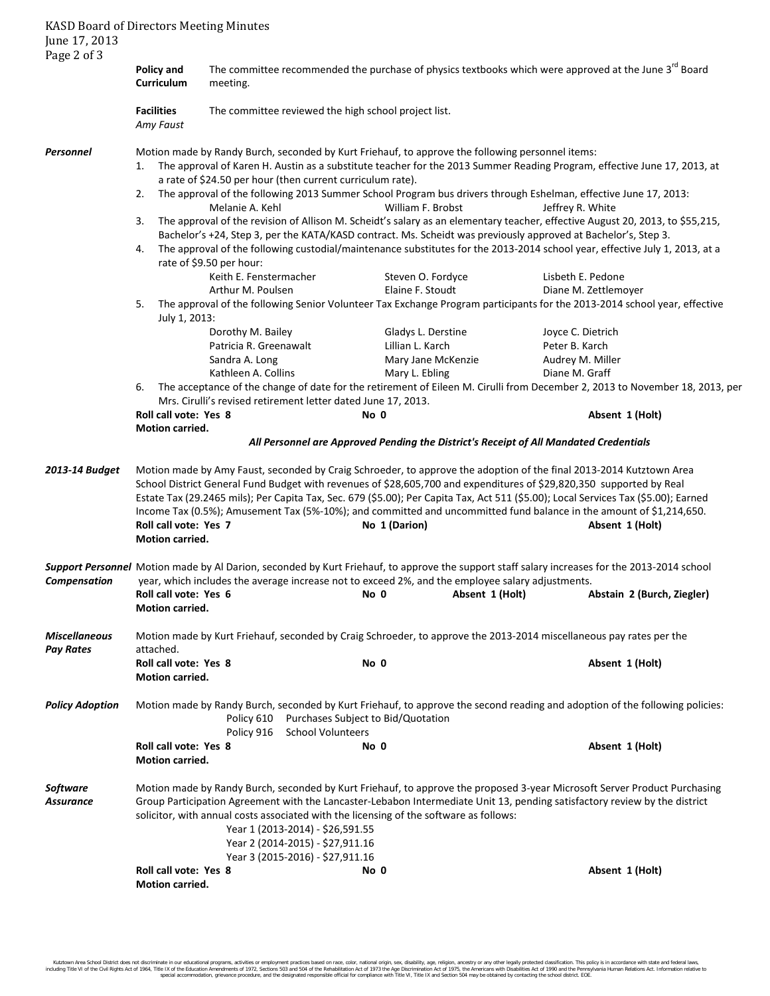| <b>KASD Board of Directors Meeting Minutes</b><br>June 17, 2013<br>Page 2 of 3                                                                                                                                                                                                                                                                                                                                        |                                                                                                                                                                                                                                                                                                                                                                                                                                                                             |                                                                                                                                                                                                                                                 |                                                                                                               |                    |                  |                                                                                                                                               |  |  |
|-----------------------------------------------------------------------------------------------------------------------------------------------------------------------------------------------------------------------------------------------------------------------------------------------------------------------------------------------------------------------------------------------------------------------|-----------------------------------------------------------------------------------------------------------------------------------------------------------------------------------------------------------------------------------------------------------------------------------------------------------------------------------------------------------------------------------------------------------------------------------------------------------------------------|-------------------------------------------------------------------------------------------------------------------------------------------------------------------------------------------------------------------------------------------------|---------------------------------------------------------------------------------------------------------------|--------------------|------------------|-----------------------------------------------------------------------------------------------------------------------------------------------|--|--|
|                                                                                                                                                                                                                                                                                                                                                                                                                       | <b>Policy and</b><br>Curriculum                                                                                                                                                                                                                                                                                                                                                                                                                                             | The committee recommended the purchase of physics textbooks which were approved at the June 3rd Board<br>meeting.                                                                                                                               |                                                                                                               |                    |                  |                                                                                                                                               |  |  |
|                                                                                                                                                                                                                                                                                                                                                                                                                       | <b>Facilities</b><br>Amy Faust                                                                                                                                                                                                                                                                                                                                                                                                                                              |                                                                                                                                                                                                                                                 | The committee reviewed the high school project list.                                                          |                    |                  |                                                                                                                                               |  |  |
| Personnel                                                                                                                                                                                                                                                                                                                                                                                                             | Motion made by Randy Burch, seconded by Kurt Friehauf, to approve the following personnel items:<br>The approval of Karen H. Austin as a substitute teacher for the 2013 Summer Reading Program, effective June 17, 2013, at<br>1.<br>a rate of \$24.50 per hour (then current curriculum rate).<br>The approval of the following 2013 Summer School Program bus drivers through Eshelman, effective June 17, 2013:                                                         |                                                                                                                                                                                                                                                 |                                                                                                               |                    |                  |                                                                                                                                               |  |  |
|                                                                                                                                                                                                                                                                                                                                                                                                                       | 2.                                                                                                                                                                                                                                                                                                                                                                                                                                                                          | Melanie A. Kehl                                                                                                                                                                                                                                 |                                                                                                               | William F. Brobst  | Jeffrey R. White |                                                                                                                                               |  |  |
|                                                                                                                                                                                                                                                                                                                                                                                                                       | 3.                                                                                                                                                                                                                                                                                                                                                                                                                                                                          | The approval of the revision of Allison M. Scheidt's salary as an elementary teacher, effective August 20, 2013, to \$55,215,<br>Bachelor's +24, Step 3, per the KATA/KASD contract. Ms. Scheidt was previously approved at Bachelor's, Step 3. |                                                                                                               |                    |                  |                                                                                                                                               |  |  |
|                                                                                                                                                                                                                                                                                                                                                                                                                       | 4.<br>rate of \$9.50 per hour:                                                                                                                                                                                                                                                                                                                                                                                                                                              | The approval of the following custodial/maintenance substitutes for the 2013-2014 school year, effective July 1, 2013, at a                                                                                                                     |                                                                                                               |                    |                  |                                                                                                                                               |  |  |
|                                                                                                                                                                                                                                                                                                                                                                                                                       |                                                                                                                                                                                                                                                                                                                                                                                                                                                                             | Keith E. Fenstermacher                                                                                                                                                                                                                          |                                                                                                               | Steven O. Fordyce  |                  | Lisbeth E. Pedone                                                                                                                             |  |  |
|                                                                                                                                                                                                                                                                                                                                                                                                                       |                                                                                                                                                                                                                                                                                                                                                                                                                                                                             | Arthur M. Poulsen                                                                                                                                                                                                                               |                                                                                                               | Elaine F. Stoudt   |                  | Diane M. Zettlemoyer                                                                                                                          |  |  |
|                                                                                                                                                                                                                                                                                                                                                                                                                       | 5.<br>July 1, 2013:                                                                                                                                                                                                                                                                                                                                                                                                                                                         |                                                                                                                                                                                                                                                 |                                                                                                               |                    |                  | The approval of the following Senior Volunteer Tax Exchange Program participants for the 2013-2014 school year, effective                     |  |  |
|                                                                                                                                                                                                                                                                                                                                                                                                                       |                                                                                                                                                                                                                                                                                                                                                                                                                                                                             | Dorothy M. Bailey                                                                                                                                                                                                                               |                                                                                                               | Gladys L. Derstine |                  | Joyce C. Dietrich                                                                                                                             |  |  |
|                                                                                                                                                                                                                                                                                                                                                                                                                       |                                                                                                                                                                                                                                                                                                                                                                                                                                                                             | Patricia R. Greenawalt                                                                                                                                                                                                                          |                                                                                                               | Lillian L. Karch   | Peter B. Karch   |                                                                                                                                               |  |  |
|                                                                                                                                                                                                                                                                                                                                                                                                                       |                                                                                                                                                                                                                                                                                                                                                                                                                                                                             | Sandra A. Long                                                                                                                                                                                                                                  |                                                                                                               | Mary Jane McKenzie |                  | Audrey M. Miller                                                                                                                              |  |  |
|                                                                                                                                                                                                                                                                                                                                                                                                                       |                                                                                                                                                                                                                                                                                                                                                                                                                                                                             | Kathleen A. Collins                                                                                                                                                                                                                             |                                                                                                               | Mary L. Ebling     | Diane M. Graff   |                                                                                                                                               |  |  |
|                                                                                                                                                                                                                                                                                                                                                                                                                       | 6.                                                                                                                                                                                                                                                                                                                                                                                                                                                                          |                                                                                                                                                                                                                                                 |                                                                                                               |                    |                  | The acceptance of the change of date for the retirement of Eileen M. Cirulli from December 2, 2013 to November 18, 2013, per                  |  |  |
|                                                                                                                                                                                                                                                                                                                                                                                                                       | Roll call vote: Yes 8                                                                                                                                                                                                                                                                                                                                                                                                                                                       |                                                                                                                                                                                                                                                 | Mrs. Cirulli's revised retirement letter dated June 17, 2013.<br>No 0                                         |                    |                  | Absent 1 (Holt)                                                                                                                               |  |  |
|                                                                                                                                                                                                                                                                                                                                                                                                                       | Motion carried.                                                                                                                                                                                                                                                                                                                                                                                                                                                             |                                                                                                                                                                                                                                                 |                                                                                                               |                    |                  |                                                                                                                                               |  |  |
| 2013-14 Budget                                                                                                                                                                                                                                                                                                                                                                                                        | All Personnel are Approved Pending the District's Receipt of All Mandated Credentials<br>Motion made by Amy Faust, seconded by Craig Schroeder, to approve the adoption of the final 2013-2014 Kutztown Area<br>School District General Fund Budget with revenues of \$28,605,700 and expenditures of \$29,820,350 supported by Real<br>Estate Tax (29.2465 mils); Per Capita Tax, Sec. 679 (\$5.00); Per Capita Tax, Act 511 (\$5.00); Local Services Tax (\$5.00); Earned |                                                                                                                                                                                                                                                 |                                                                                                               |                    |                  |                                                                                                                                               |  |  |
|                                                                                                                                                                                                                                                                                                                                                                                                                       | Roll call vote: Yes 7<br>Motion carried.                                                                                                                                                                                                                                                                                                                                                                                                                                    |                                                                                                                                                                                                                                                 |                                                                                                               | No 1 (Darion)      |                  | Income Tax (0.5%); Amusement Tax (5%-10%); and committed and uncommitted fund balance in the amount of \$1,214,650.<br>Absent 1 (Holt)        |  |  |
|                                                                                                                                                                                                                                                                                                                                                                                                                       |                                                                                                                                                                                                                                                                                                                                                                                                                                                                             |                                                                                                                                                                                                                                                 | Compensation year, which includes the average increase not to exceed 2%, and the employee salary adjustments. |                    |                  | Support Personnel Motion made by Al Darion, seconded by Kurt Friehauf, to approve the support staff salary increases for the 2013-2014 school |  |  |
|                                                                                                                                                                                                                                                                                                                                                                                                                       | Roll call vote: Yes 6<br>Motion carried.                                                                                                                                                                                                                                                                                                                                                                                                                                    |                                                                                                                                                                                                                                                 | No 0                                                                                                          |                    | Absent 1 (Holt)  | Abstain 2 (Burch, Ziegler)                                                                                                                    |  |  |
| <b>Miscellaneous</b><br><b>Pay Rates</b>                                                                                                                                                                                                                                                                                                                                                                              | attached.                                                                                                                                                                                                                                                                                                                                                                                                                                                                   |                                                                                                                                                                                                                                                 |                                                                                                               |                    |                  | Motion made by Kurt Friehauf, seconded by Craig Schroeder, to approve the 2013-2014 miscellaneous pay rates per the                           |  |  |
|                                                                                                                                                                                                                                                                                                                                                                                                                       | Roll call vote: Yes 8<br>Motion carried.                                                                                                                                                                                                                                                                                                                                                                                                                                    |                                                                                                                                                                                                                                                 | No 0                                                                                                          |                    |                  | Absent 1 (Holt)                                                                                                                               |  |  |
| <b>Policy Adoption</b>                                                                                                                                                                                                                                                                                                                                                                                                |                                                                                                                                                                                                                                                                                                                                                                                                                                                                             | Policy 610<br>Policy 916                                                                                                                                                                                                                        | Purchases Subject to Bid/Quotation<br><b>School Volunteers</b>                                                |                    |                  | Motion made by Randy Burch, seconded by Kurt Friehauf, to approve the second reading and adoption of the following policies:                  |  |  |
|                                                                                                                                                                                                                                                                                                                                                                                                                       | Roll call vote: Yes 8<br>Motion carried.                                                                                                                                                                                                                                                                                                                                                                                                                                    |                                                                                                                                                                                                                                                 | No 0                                                                                                          |                    |                  | Absent 1 (Holt)                                                                                                                               |  |  |
| Software<br>Motion made by Randy Burch, seconded by Kurt Friehauf, to approve the proposed 3-year Microsoft Server Product Purchasing<br>Group Participation Agreement with the Lancaster-Lebabon Intermediate Unit 13, pending satisfactory review by the district<br><b>Assurance</b><br>solicitor, with annual costs associated with the licensing of the software as follows:<br>Year 1 (2013-2014) - \$26,591.55 |                                                                                                                                                                                                                                                                                                                                                                                                                                                                             |                                                                                                                                                                                                                                                 |                                                                                                               |                    |                  |                                                                                                                                               |  |  |
|                                                                                                                                                                                                                                                                                                                                                                                                                       |                                                                                                                                                                                                                                                                                                                                                                                                                                                                             |                                                                                                                                                                                                                                                 | Year 2 (2014-2015) - \$27,911.16                                                                              |                    |                  |                                                                                                                                               |  |  |
|                                                                                                                                                                                                                                                                                                                                                                                                                       |                                                                                                                                                                                                                                                                                                                                                                                                                                                                             |                                                                                                                                                                                                                                                 | Year 3 (2015-2016) - \$27,911.16                                                                              |                    |                  |                                                                                                                                               |  |  |
|                                                                                                                                                                                                                                                                                                                                                                                                                       | Roll call vote: Yes 8<br>Motion carried.                                                                                                                                                                                                                                                                                                                                                                                                                                    |                                                                                                                                                                                                                                                 | No 0                                                                                                          |                    |                  | Absent 1 (Holt)                                                                                                                               |  |  |